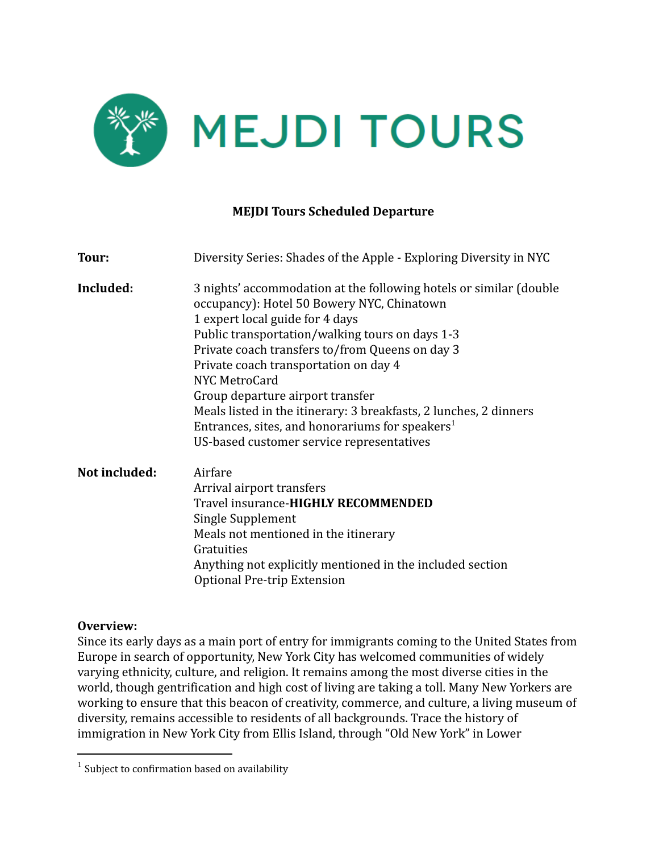

#### **MEJDI Tours Scheduled Departure**

| Tour:         | Diversity Series: Shades of the Apple - Exploring Diversity in NYC                                                                                                                                                                                                                                                                                                                                                                                                                                                                       |
|---------------|------------------------------------------------------------------------------------------------------------------------------------------------------------------------------------------------------------------------------------------------------------------------------------------------------------------------------------------------------------------------------------------------------------------------------------------------------------------------------------------------------------------------------------------|
| Included:     | 3 nights' accommodation at the following hotels or similar (double<br>occupancy): Hotel 50 Bowery NYC, Chinatown<br>1 expert local guide for 4 days<br>Public transportation/walking tours on days 1-3<br>Private coach transfers to/from Queens on day 3<br>Private coach transportation on day 4<br>NYC MetroCard<br>Group departure airport transfer<br>Meals listed in the itinerary: 3 breakfasts, 2 lunches, 2 dinners<br>Entrances, sites, and honorariums for speakers <sup>1</sup><br>US-based customer service representatives |
| Not included: | Airfare<br>Arrival airport transfers<br>Travel insurance-HIGHLY RECOMMENDED<br>Single Supplement<br>Meals not mentioned in the itinerary<br>Gratuities<br>Anything not explicitly mentioned in the included section<br>Optional Pre-trip Extension                                                                                                                                                                                                                                                                                       |

#### **Overview:**

Since its early days as a main port of entry for immigrants coming to the United States from Europe in search of opportunity, New York City has welcomed communities of widely varying ethnicity, culture, and religion. It remains among the most diverse cities in the world, though gentrification and high cost of living are taking a toll. Many New Yorkers are working to ensure that this beacon of creativity, commerce, and culture, a living museum of diversity, remains accessible to residents of all backgrounds. Trace the history of immigration in New York City from Ellis Island, through "Old New York" in Lower

 $1$  Subject to confirmation based on availability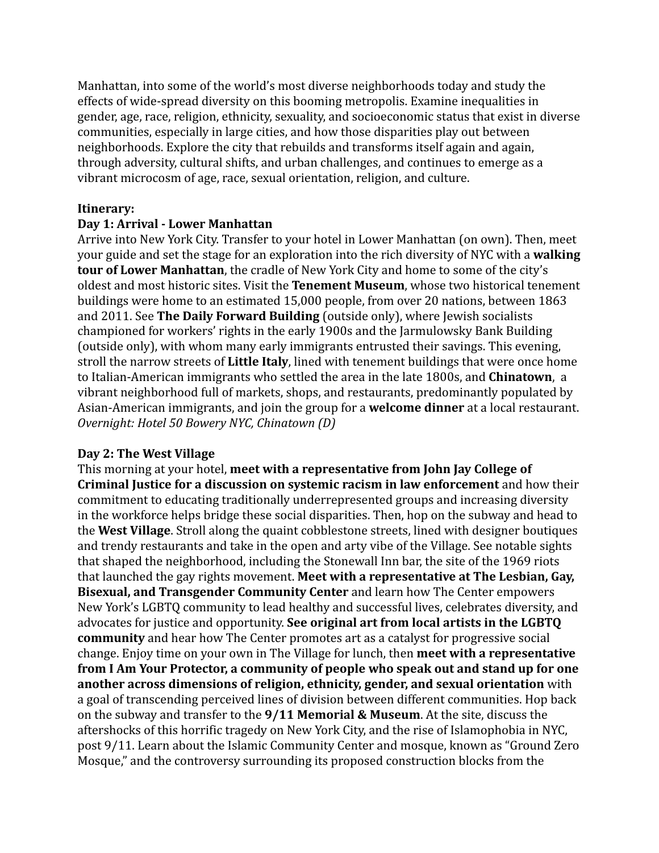Manhattan, into some of the world's most diverse neighborhoods today and study the effects of wide-spread diversity on this booming metropolis. Examine inequalities in gender, age, race, religion, ethnicity, sexuality, and socioeconomic status that exist in diverse communities, especially in large cities, and how those disparities play out between neighborhoods. Explore the city that rebuilds and transforms itself again and again, through adversity, cultural shifts, and urban challenges, and continues to emerge as a vibrant microcosm of age, race, sexual orientation, religion, and culture.

# **Itinerary:**

## **Day 1: Arrival - Lower Manhattan**

Arrive into New York City. Transfer to your hotel in Lower Manhattan (on own). Then, meet your guide and set the stage for an exploration into the rich diversity of NYC with a **walking tour of Lower Manhattan**, the cradle of New York City and home to some of the city's oldest and most historic sites. Visit the **Tenement Museum**, whose two historical tenement buildings were home to an estimated 15,000 people, from over 20 nations, between 1863 and 2011. See **The Daily Forward Building** (outside only), where Jewish socialists championed for workers' rights in the early 1900s and the Jarmulowsky Bank Building (outside only), with whom many early immigrants entrusted their savings. This evening, stroll the narrow streets of **Little Italy**, lined with tenement buildings that were once home to Italian-American immigrants who settled the area in the late 1800s, and **Chinatown**, a vibrant neighborhood full of markets, shops, and restaurants, predominantly populated by Asian-American immigrants, and join the group for a **welcome dinner** at a local restaurant. *Overnight: Hotel 50 Bowery NYC, Chinatown (D)*

#### **Day 2: The West Village**

This morning at your hotel, **meet with a representative from John Jay College of Criminal Justice for a discussion on systemic racism in law enforcement** and how their commitment to educating traditionally underrepresented groups and increasing diversity in the workforce helps bridge these social disparities. Then, hop on the subway and head to the **West Village**. Stroll along the quaint cobblestone streets, lined with designer boutiques and trendy restaurants and take in the open and arty vibe of the Village. See notable sights that shaped the neighborhood, including the Stonewall Inn bar, the site of the 1969 riots that launched the gay rights movement. **Meet with a representative at The Lesbian, Gay, Bisexual, and Transgender Community Center** and learn how The Center empowers New York's LGBTQ community to lead healthy and successful lives, celebrates diversity, and advocates for justice and opportunity. **See original art from local artists in the LGBTQ community** and hear how The Center promotes art as a catalyst for progressive social change. Enjoy time on your own in The Village for lunch, then **meet with a representative from I Am Your Protector, a community of people who speak out and stand up for one another across dimensions of religion, ethnicity, gender, and sexual orientation** with a goal of transcending perceived lines of division between different communities. Hop back on the subway and transfer to the **9/11 Memorial & Museum**. At the site, discuss the aftershocks of this horrific tragedy on New York City, and the rise of Islamophobia in NYC, post 9/11. Learn about the Islamic Community Center and mosque, known as "Ground Zero Mosque," and the controversy surrounding its proposed construction blocks from the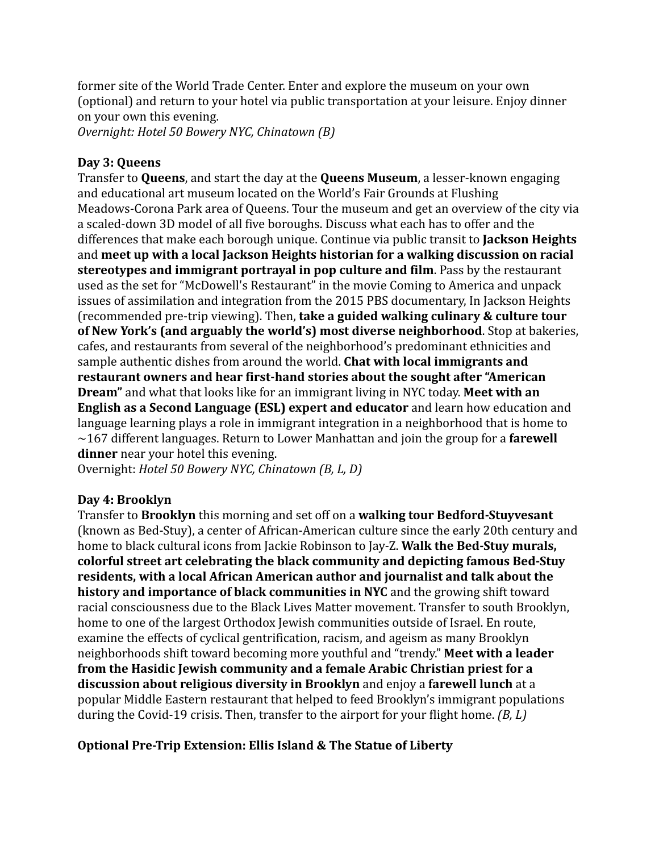former site of the World Trade Center. Enter and explore the museum on your own (optional) and return to your hotel via public transportation at your leisure. Enjoy dinner on your own this evening.

*Overnight: Hotel 50 Bowery NYC, Chinatown (B)*

### **Day 3: Queens**

Transfer to **Queens**, and start the day at the **Queens Museum**, a lesser-known engaging and educational art museum located on the World's Fair Grounds at Flushing Meadows-Corona Park area of Queens. Tour the museum and get an overview of the city via a scaled-down 3D model of all five boroughs. Discuss what each has to offer and the differences that make each borough unique. Continue via public transit to **Jackson Heights** and **meet up with a local Jackson Heights historian for a walking discussion on racial stereotypes and immigrant portrayal in pop culture and film**. Pass by the restaurant used as the set for "McDowell's Restaurant" in the movie Coming to America and unpack issues of assimilation and integration from the 2015 PBS documentary, In Jackson Heights (recommended pre-trip viewing). Then, **take a guided walking culinary & culture tour of New York's (and arguably the world's) most diverse neighborhood**. Stop at bakeries, cafes, and restaurants from several of the neighborhood's predominant ethnicities and sample authentic dishes from around the world. **Chat with local immigrants and restaurant owners and hear first-hand stories about the sought after "American Dream"** and what that looks like for an immigrant living in NYC today. **Meet with an English as a Second Language (ESL) expert and educator** and learn how education and language learning plays a role in immigrant integration in a neighborhood that is home to ~167 different languages. Return to Lower Manhattan and join the group for a **farewell dinner** near your hotel this evening.

Overnight: *Hotel 50 Bowery NYC, Chinatown (B, L, D)*

#### **Day 4: Brooklyn**

Transfer to **Brooklyn** this morning and set off on a **walking tour Bedford-Stuyvesant** (known as Bed-Stuy), a center of African-American culture since the early 20th century and home to black cultural icons from Jackie Robinson to Jay-Z. **Walk the Bed-Stuy murals, colorful street art celebrating the black community and depicting famous Bed-Stuy residents, with a local African American author and journalist and talk about the history and importance of black communities in NYC** and the growing shift toward racial consciousness due to the Black Lives Matter movement. Transfer to south Brooklyn, home to one of the largest Orthodox Jewish communities outside of Israel. En route, examine the effects of cyclical gentrification, racism, and ageism as many Brooklyn neighborhoods shift toward becoming more youthful and "trendy." **Meet with a leader from the Hasidic Jewish community and a female Arabic Christian priest for a discussion about religious diversity in Brooklyn** and enjoy a **farewell lunch** at a popular Middle Eastern restaurant that helped to feed Brooklyn's immigrant populations during the Covid-19 crisis. Then, transfer to the airport for your flight home. *(B, L)*

#### **Optional Pre-Trip Extension: Ellis Island & The Statue of Liberty**